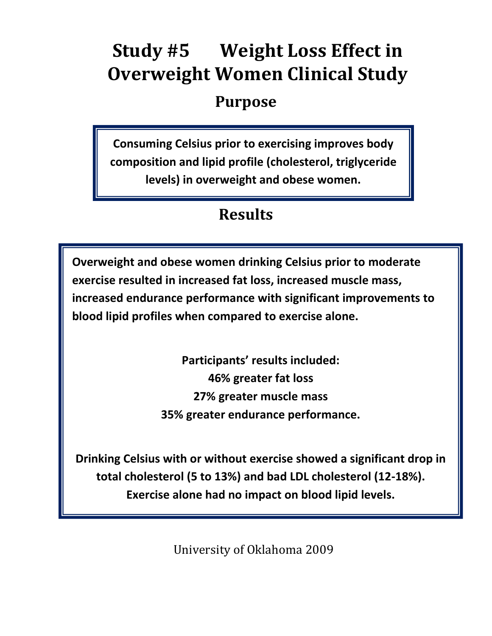# **Study #5 Weight Loss Effect in Overweight Women Clinical Study**

## **Purpose**

**Consuming Celsius prior to exercising improves body composition and lipid profile (cholesterol, triglyceride levels) in overweight and obese women.**

## **Results**

**Overweight and obese women drinking Celsius prior to moderate exercise resulted in increased fat loss, increased muscle mass, increased endurance performance with significant improvements to blood lipid profiles when compared to exercise alone.**

> **Participants' results included: 46% greater fat loss 27% greater muscle mass 35% greater endurance performance.**

**Drinking Celsius with or without exercise showed a significant drop in total cholesterol (5 to 13%) and bad LDL cholesterol (12-18%). Exercise alone had no impact on blood lipid levels.**

University of Oklahoma 2009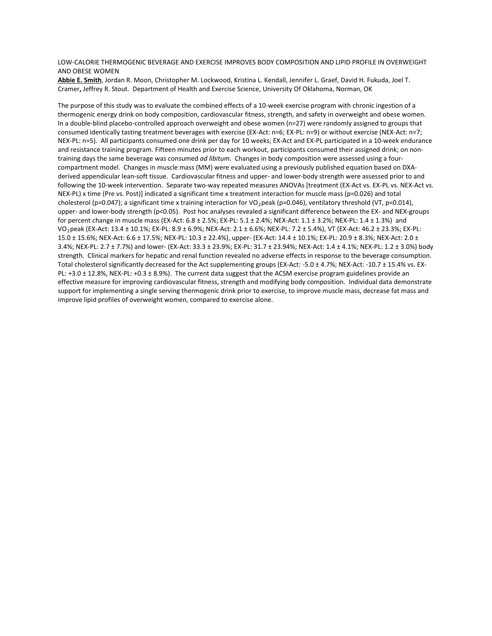#### LOW-CALORIE THERMOGENIC BEVERAGE AND EXERCISE IMPROVES BODY COMPOSITION AND LIPID PROFILE IN OVERWEIGHT AND OBESE WOMEN

**Abbie E. Smith** , Jordan R. Moon, Christopher M. Lockwood, Kristina L. Kendall, Jennifer L. Graef, David H. Fukuda, Joel T. Cramer**,** Jeffrey R. Stout. Department of Health and Exercise Science, University Of Oklahoma, Norman, OK

The purpose of this study was to evaluate the combined effects of a 10-week exercise program with chronic ingestion of a thermogenic energy drink on body composition, cardiovascular fitness, strength, and safety in overweight and obese women. In a double-blind placebo-controlled approach overweight and obese women (n=27) were randomly assigned to groups that consumed identically tasting treatment beverages with exercise (EX-Act: n=6; EX-PL: n=9) or without exercise (NEX-Act: n=7; NEX-PL: n=5). All participants consumed one drink per day for 10 weeks; EX-Act and EX-PL participated in a 10-week endurance and resistance training program. Fifteen minutes prior to each workout, participants consumed their assigned drink; on nontraining days the same beverage was consumed *ad libitum*. Changes in body composition were assessed using a fourcompartment model. Changes in muscle mass (MM) were evaluated using a previously published equation based on DXAderived appendicular lean-soft tissue. Cardiovascular fitness and upper- and lower-body strength were assessed prior to and following the 10-week intervention. Separate two-way repeated measures ANOVAs [treatment (EX-Act vs. EX-PL vs. NEX-Act vs. NEX-PL) x time (Pre vs. Post)] indicated a significant time x treatment interaction for muscle mass (p=0.026) and total cholesterol (p=0.047); a significant time x training interaction for VO<sub>2</sub>peak (p=0.046), ventilatory threshold (VT, p=0.014), upper- and lower-body strength (p<0.05). Post hoc analyses revealed a significant difference between the EX- and NEX-groups for percent change in muscle mass (EX-Act: 6.8 ± 2.5%; EX-PL: 5.1 ± 2.4%; NEX-Act: 1.1 ± 3.2%; NEX-PL: 1.4 ± 1.3%) and VO2peak (EX-Act: 13.4 ± 10.1%; EX-PL: 8.9 ± 6.9%; NEX-Act: 2.1 ± 6.6%; NEX-PL: 7.2 ± 5.4%), VT (EX-Act: 46.2 ± 23.3%; EX-PL: 15.0 ± 15.6%; NEX-Act: 6.6 ± 17.5%; NEX-PL: 10.3 ± 22.4%), upper- (EX-Act: 14.4 ± 10.1%; EX-PL: 20.9 ± 8.3%; NEX-Act: 2.0 ± 3.4%; NEX-PL: 2.7 ± 7.7%) and lower- (EX-Act: 33.3 ± 23.9%; EX-PL: 31.7 ± 23.94%; NEX-Act: 1.4 ± 4.1%; NEX-PL: 1.2 ± 3.0%) body strength. Clinical markers for hepatic and renal function revealed no adverse effects in response to the beverage consumption. Total cholesterol significantly decreased for the Act supplementing groups (EX-Act: -5.0 ± 4.7%; NEX-Act: -10.7 ± 15.4% vs. EX-PL: +3.0 ± 12.8%, NEX-PL: +0.3 ± 8.9%). The current data suggest that the ACSM exercise program guidelines provide an effective measure for improving cardiovascular fitness, strength and modifying body composition. Individual data demonstrate support for implementing a single serving thermogenic drink prior to exercise, to improve muscle mass, decrease fat mass and improve lipid profiles of overweight women, compared to exercise alone.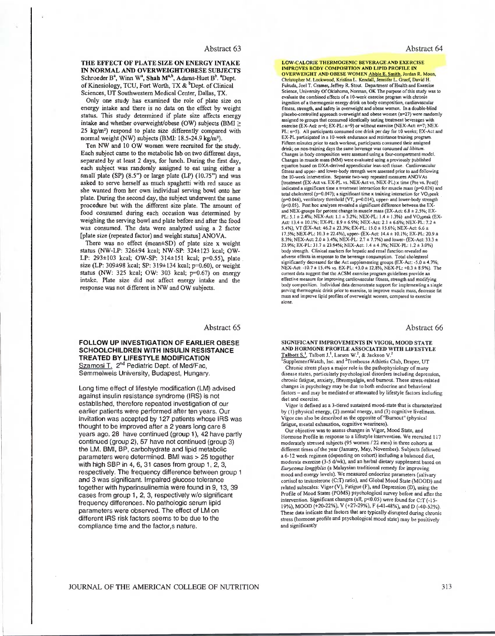THE EFFECT OF PLATE SIZE ON ENERGY INTAKE IN NORMAL AND OVERWEIGHT/OBESE SUBJECTS Schroeder B<sup>a</sup>, Winn W<sup>a</sup>, Shah M<sup>a,b</sup>, Adams-Huet B<sup>b</sup>. <sup>a</sup>Dept. of Kinesiology, TCU, Fort Worth, TX & <sup>b</sup>Dept. of Clinical Sciences, UT Southwestern Medical Center, Dallas, TX.

Only one study has examined the role of plate size on energy intake and there is no data on the effect by weight status. This study determined if plate size affects energy intake and whether overweight/obese (OW) subjects (BMI  $\geq$ 25 kg/m<sup>2</sup>) respond to plate size differently compared with normal weight (NW) subjects (BMI: 18.5-24.9 kg/m<sup>2</sup>).

Ten NW and 10 OW women were recruited for the study. Each subject came to the metabolic lab on two different days, separated by at least 2 days, for lunch. During the first day, each subject was randomly assigned to eat using either a small plate (SP) (8.5") or large plate (LP) (10.75") and was asked to serve herself as much spaghetti with red sauce as she wanted from her own individual serving bowl onto her plate. During the second day, the subject underwent the same procedure but with the different size plate. The amount of food consumed during each occasion was determined by weighing the serving bowl and plate before and after the food was consumed. The data were analyzed using a 2 factor [plate size (repeated factor) and weight status] ANOVA.

There was no effect (mean±SD) of plate size x weight status (NW-LP: 326±94 kcal; NW-SP: 324±123 kcal; OW-LP: 293±103 kcal; OW-SP: 314±151 kcal; p=0.55), plate size (LP: 309±98 kcal; SP: 319±134 kcal; p=0.60), or weight status (NW: 325 kcal; OW: 303 kcal; p=0.67) on energy intake. Plate size did not affect energy intake and the response was not different in NW and OW subjects.

Abstract 65

FOLLOW UP INVESTIGATION OF EARLIER OBESE **SCHOOLCHILDREN WITH INSULIN RESISTANCE** TREATED BY LIFESTYLE MODIFICATION Szamosi T. 2<sup>nd</sup> Pediatric Dept. of Med/Fac. Semmelweis University, Budapest, Hungary.

Long time effect of lifestyle modification (LM) advised against insulin resistance syndrome (IRS) is not established, therefore repeated investigation of our earlier patients were performed after ten years. Our invitation was accepted by 127 patients whose IRS was thought to be improved after a 2 years long care 8 years ago. 28 have continued (group 1), 42 have partly continued (group 2), 57 have not continued (group 3) the LM. BMI, BP, carbohydrate and lipid metabolic parameters were determined. BMI was > 25 together with high SBP in 4, 6, 31 cases from group 1, 2, 3, respectively. The frequency difference between group 1 and 3 was significant. Impaired glucose tolerance together with hyperinsulinemia were found in 9, 13, 39 cases from group 1, 2, 3, respectively w/o significant frequency differences. No pathologic serum lipid parameters were observed. The effect of LM on different IRS risk factors seems to be due to the compliance time and the factor,s nature.

LOW-CALORIE THERMOGENIC BEVERAGE AND EXERCISE **IMPROVES BODY COMPOSITION AND LIPID PROFILE IN** OVERWEIGHT AND OBESE WOMEN Abbie E. Smith, Jordan R. Moon, Christopher M. Lockwood, Kristina L. Kendall, Jennifer L. Graef, David H. Fukuda, Joel T. Cramer, Jeffrey R. Stout. Department of Health and Exercise Science, University Of Oklahoma, Norman, OK The purpose of this study was to evaluate the combined effects of a 10-week exercise program with chronic ingeslion of a thermogenic energy drink on body composition, cardiovascular<br>fitness, strength, and safety in overweight and obese women. In a double-blind placebo-controlled approach overweight and obese women (n=27) were randomly assigned to groups that consumed identically tasting treatment beverages with exercise (EX-AcI:  $n=6$ ; EX-PL:  $n=9$ ) or without exercise (NEX-AcI:  $n=7$ ; NEX-PL: n=5). All participants consumed one drink per day for 10 weeks; EX-Act and EX-PL participated in a 10-week endurance and resistance training program Fifteen minutes prior to each workout, participants consumed their assigned drink; on non-training days the same beverage was consumed ad libitum. Changes in body composition were assessed using a four-compartment model. Changes in muscle mass (MM) were evaluated using a previously published equation based on DXA-derived appendicular lean-soft tissue. Cardiovascular equation of the state of the state of the state of the state of the state of the state of the state of the state of the state of the state of the state of the state of the state of the state of the state of the state of th indicated a significant time x treatment interaction for muscle mass  $(p=0.026)$  and total cholesterol  $(p=0.047)$ ; a significant time x training interaction for VO<sub>2</sub>peak  $(p=0.046)$ , ventilatory threshold (VT,  $p=0.014$ ), upper- and lower-body strength (p<0.05). Post hoc analyses revealed a significant difference between the EXand NEX-groups for percent change in muscle mass (EX-Act: 6.8  $\pm$  2.5%; EX-PL: 5.1  $\pm$  2.4%; NEX-Act: 1.1  $\pm$  3.2%; NEX-PL: 1.4  $\pm$  1.3%) and VO<sub>2</sub>peak (EX-Act: 13.4 ± 10.1%; EX-PL: 8.9 ± 6.9%; NEX-Act: 2.1 ± 6.6%; NEX-PL: 7.2 ± 5.4%), VT (EX-Act: 46.2 ± 23.3%; EX-PL: 15.0 ± 15.6%; NEX-Act: 6.6 ± 17.5%; NEX-PL: 10.3 ± 22.4%), upper- (EX-Act: 14.4 ± 10.1%; EX-PL: 20.9 ± 8.3%; NEX-Act: 2.0 ± 3.4%; NEX-PL: 2.7 ± 7.7%) and lower- (EX-Act: 33.3 ± 23.9%; EX-PL: 31.7 ± 23.94%; NEX-Act: 1.4 ± 4.1%; NEX-PL: 1.2 ± 3.0%) body strength. Clinical markers for hepatic and renal function revealed no adverse effects in response to the beverage consumption. Total cholesterol significantly decreased for the Act supplementing groups (EX-Act: -5.0 ± 4.7%;<br>NEX-Act: -10.7 ± 15.4% vs. EX-PL: +3.0 ± 12.8%; NEX-PL: +0.3 ± 8.9%). The current data suggest that the ACSM exercise program guidelines provide an effective measure for improving cardiovascular fitness, strength and modifying<br>body composition. Individual data demonstrate support for implementing a single serving thermogenic drink prior to exercise, to improve muscle mass, decrease fat mass and improve lipid profiles of overweight women, compared to exercise alone.

Abstract 66

#### SIGNIFICANT IMPROVEMENTS IN VIGOR, MOOD STATE AND HORMONE PROFILE ASSOCIATED WITH LIFESTYLE Talbott S.<sup>1</sup>, Talbott J.<sup>1</sup>, Larsen W.<sup>2</sup>, & Jackson V.

Supplement Watch, Inc. and <sup>2</sup>Treehouse Athletic Club, Draper, UT Chronic stress plays a major role in the pathophysiology of many disease states, particularly psychological disorders including depression,<br>chronic fatigue, anxiety, fibromyalgia, and burnout. These stress-related changes in psychology may be due to both endocrine and behavioral factors - and may be mediated or attenuated by lifestyle factors including diet and exercise

Vigor is defined as a 3-tiered sustained mood-state that is characterized by (1) physical energy, (2) mental energy, and (3) cognitive liveliness. Vigor can also be described as the opposite of "Burnout" (physical fatigue, mental exhaustion, cognitive weariness).

Our objective was to assess changes in Vigor, Mood State, and Hormone Profile in response to a lifestyle intervention. We recruited 117 moderately stressed subjects (95 women / 22 men) in three cohorts at different times of the year (January, May, November). Subjects followed a 6-12 week regimen (depending on cohort) including a balanced diet, moderate exercise (3-5 d/wk), and an herbal dietary supplement based on Eurycoma longifolia (a Malaysian traditional remedy for improving mood and energy levels). We measured endocrine parameters (salivary cortisol to testosterone (C:T) ratio), and Global Mood State (MOOD) and related subscales: Vigor (V), Fatigue (F), and Depression (D), using the Profile of Mood States (POMS) psychological survey before and after the intervention. Significant changes (all, p<0.05) were found for C:T (-15-19%), MOOD (+20-22%), V (+27-29%), F (-41-48%), and D (-40-52%). These data indicate that factors that are typically disrupted during chronic stress (hormone profile and psychological mood state) may be positively and significantly

JOURNAL OF THE AMERICAN COLLEGE OF NUTRITION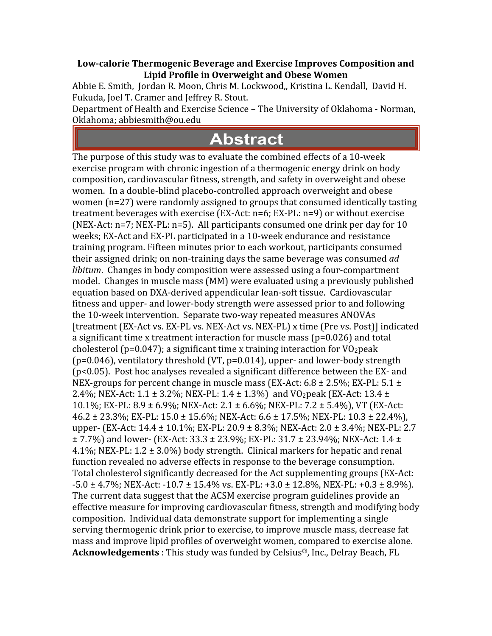#### **Lowcalorie Thermogenic Beverage and Exercise Improves Composition and Lipid Profile in Overweight and Obese Women**

Abbie E. Smith, Jordan R. Moon, Chris M. Lockwood,, Kristina L. Kendall, David H. Fukuda, Joel T. Cramer and Jeffrey R. Stout.

Department of Health and Exercise Science – The University of Oklahoma ‐ Norman, Oklahoma; abbiesmith@ou.edu

## **Abstract**

The purpose of this study was to evaluate the combined effects of a 10‐week exercise program with chronic ingestion of a thermogenic energy drink on body composition, cardiovascular fitness, strength, and safety in overweight and obese women. In a double‐blind placebo‐controlled approach overweight and obese women (n=27) were randomly assigned to groups that consumed identically tasting treatment beverages with exercise (EX‐Act: n=6; EX‐PL: n=9) or without exercise (NEX‐Act: n=7; NEX‐PL: n=5). All participants consumed one drink per day for 10 weeks; EX‐Act and EX‐PL participated in a 10‐week endurance and resistance training program. Fifteen minutes prior to each workout, participants consumed their assigned drink; on non‐training days the same beverage was consumed *ad libitum*. Changes in body composition were assessed using a four‐compartment model. Changes in muscle mass (MM) were evaluated using a previously published equation based on DXA‐derived appendicular lean‐soft tissue. Cardiovascular fitness and upper‐ and lower‐body strength were assessed prior to and following the 10‐week intervention. Separate two‐way repeated measures ANOVAs [treatment (EX‐Act vs. EX‐PL vs. NEX‐Act vs. NEX‐PL) x time (Pre vs. Post)] indicated a significant time x treatment interaction for muscle mass (p=0.026) and total cholesterol (p=0.047); a significant time x training interaction for  $VO<sub>2</sub>peak$  $(p=0.046)$ , ventilatory threshold (VT,  $p=0.014$ ), upper- and lower-body strength (p<0.05). Post hoc analyses revealed a significant difference between the EX‐ and NEX-groups for percent change in muscle mass (EX-Act: 6.8  $\pm$  2.5%; EX-PL: 5.1  $\pm$ 2.4%; NEX-Act: 1.1 ± 3.2%; NEX-PL: 1.4 ± 1.3%) and VO<sub>2</sub>peak (EX-Act: 13.4 ± 10.1%; EX‐PL: 8.9 ± 6.9%; NEX‐Act: 2.1 ± 6.6%; NEX‐PL: 7.2 ± 5.4%), VT (EX‐Act:  $46.2 \pm 23.3\%$ ; EX-PL:  $15.0 \pm 15.6\%$ ; NEX-Act:  $6.6 \pm 17.5\%$ ; NEX-PL:  $10.3 \pm 22.4\%$ ), upper‐ (EX‐Act: 14.4 ± 10.1%; EX‐PL: 20.9 ± 8.3%; NEX‐Act: 2.0 ± 3.4%; NEX‐PL: 2.7 ± 7.7%) and lower‐ (EX‐Act: 33.3 ± 23.9%; EX‐PL: 31.7 ± 23.94%; NEX‐Act: 1.4 ± 4.1%; NEX-PL:  $1.2 \pm 3.0$ %) body strength. Clinical markers for hepatic and renal function revealed no adverse effects in response to the beverage consumption. Total cholesterol significantly decreased for the Act supplementing groups (EX‐Act:  $-5.0 \pm 4.7\%$ ; NEX-Act:  $-10.7 \pm 15.4\%$  vs. EX-PL:  $+3.0 \pm 12.8\%$ , NEX-PL:  $+0.3 \pm 8.9\%$ ). The current data suggest that the ACSM exercise program guidelines provide an effective measure for improving cardiovascular fitness, strength and modifying body composition. Individual data demonstrate support for implementing a single serving thermogenic drink prior to exercise, to improve muscle mass, decrease fat mass and improve lipid profiles of overweight women, compared to exercise alone. **Acknowledgements** : This study was funded by Celsius®, Inc., Delray Beach, FL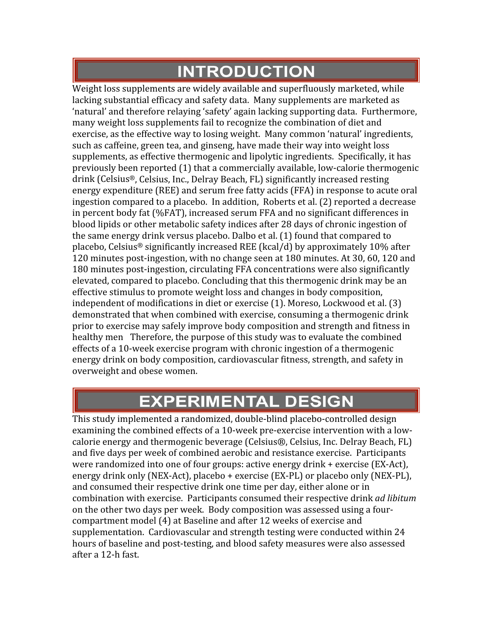## **INTRODUCTION**

Weight loss supplements are widely available and superfluously marketed, while lacking substantial efficacy and safety data. Many supplements are marketed as 'natural' and therefore relaying 'safety' again lacking supporting data. Furthermore, many weight loss supplements fail to recognize the combination of diet and exercise, as the effective way to losing weight. Many common 'natural' ingredients, such as caffeine, green tea, and ginseng, have made their way into weight loss supplements, as effective thermogenic and lipolytic ingredients. Specifically, it has previously been reported (1) that a commercially available, low‐calorie thermogenic drink (Celsius®, Celsius, Inc., Delray Beach, FL) significantly increased resting energy expenditure (REE) and serum free fatty acids (FFA) in response to acute oral ingestion compared to a placebo. In addition, Roberts et al. (2) reported a decrease in percent body fat (%FAT), increased serum FFA and no significant differences in blood lipids or other metabolic safety indices after 28 days of chronic ingestion of the same energy drink versus placebo. Dalbo et al. (1) found that compared to placebo, Celsius® significantly increased REE (kcal/d) by approximately 10% after 120 minutes post‐ingestion, with no change seen at 180 minutes. At 30, 60, 120 and 180 minutes post-ingestion, circulating FFA concentrations were also significantly elevated, compared to placebo. Concluding that this thermogenic drink may be an effective stimulus to promote weight loss and changes in body composition, independent of modifications in diet or exercise (1). Moreso, Lockwood et al. (3) demonstrated that when combined with exercise, consuming a thermogenic drink prior to exercise may safely improve body composition and strength and fitness in healthy men Therefore, the purpose of this study was to evaluate the combined effects of a 10‐week exercise program with chronic ingestion of a thermogenic energy drink on body composition, cardiovascular fitness, strength, and safety in overweight and obese women.

## **EXPERIMENTAL DESIGN**

This study implemented a randomized, double‐blind placebo‐controlled design examining the combined effects of a 10‐week pre‐exercise intervention with a low‐ calorie energy and thermogenic beverage (Celsius®, Celsius, Inc. Delray Beach, FL) and five days per week of combined aerobic and resistance exercise. Participants were randomized into one of four groups: active energy drink + exercise (EX-Act), energy drink only (NEX‐Act), placebo + exercise (EX‐PL) or placebo only (NEX‐PL), and consumed their respective drink one time per day, either alone or in combination with exercise. Participants consumed their respective drink *ad libitum* on the other two days per week. Body composition was assessed using a four‐ compartment model (4) at Baseline and after 12 weeks of exercise and supplementation. Cardiovascular and strength testing were conducted within 24 hours of baseline and post-testing, and blood safety measures were also assessed after a 12‐h fast.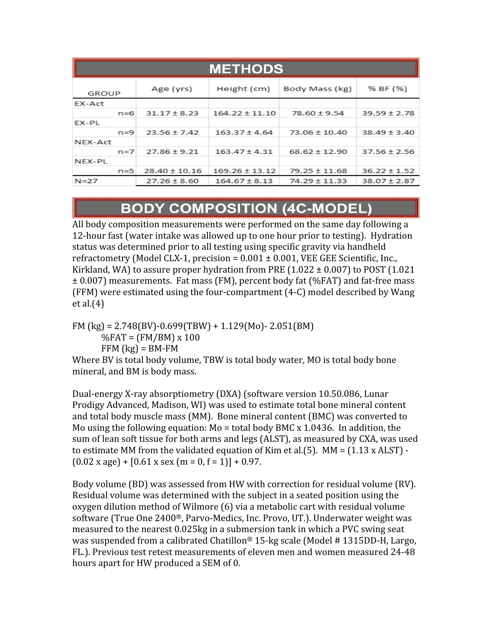| <b>METHODS</b> |                   |                    |                   |                  |  |  |  |
|----------------|-------------------|--------------------|-------------------|------------------|--|--|--|
| <b>GROUP</b>   | Age (yrs)         | Height (cm)        | Body Mass (kg)    | % BF (%)         |  |  |  |
| EX-Act         |                   |                    |                   |                  |  |  |  |
| $n=6$          | $31.17 \pm 8.23$  | $164.22 \pm 11.10$ | $78.60 \pm 9.54$  | $39.59 \pm 2.78$ |  |  |  |
| EX-PL          |                   |                    |                   |                  |  |  |  |
| $n = 9$        | $23.56 \pm 7.42$  | $163.37 \pm 4.64$  | $73.06 \pm 10.40$ | $38.49 \pm 3.40$ |  |  |  |
| NEX-Act        |                   |                    |                   |                  |  |  |  |
| $n=7$          | $27.86 \pm 9.21$  | $163.47 \pm 4.31$  | $68.62 \pm 12.90$ | $37.56 \pm 2.56$ |  |  |  |
| NEX-PL         |                   |                    |                   |                  |  |  |  |
| $n = 5$        | $28.40 \pm 10.16$ | $169.26 \pm 13.12$ | $79.25 \pm 11.68$ | $36.22 \pm 1.52$ |  |  |  |
| N=27           | $27.26 \pm 8.60$  | $164.67 \pm 8.13$  | 74.29 ± 11.33     | 38.07±2.87       |  |  |  |

#### **BODY COMPOSITION (4C-MODEL)**

All body composition measurements were performed on the same day following a 12‐hour fast (water intake was allowed up to one hour prior to testing). Hydration status was determined prior to all testing using specific gravity via handheld refractometry (Model CLX-1, precision =  $0.001 \pm 0.001$ , VEE GEE Scientific, Inc., Kirkland, WA) to assure proper hydration from PRE  $(1.022 \pm 0.007)$  to POST  $(1.021$ ± 0.007) measurements. Fat mass (FM), percent body fat (%FAT) and fat‐free mass (FFM) were estimated using the four‐compartment (4‐C) model described by Wang et al.(4)

FM (kg) =  $2.748$ (BV)-0.699(TBW) + 1.129(Mo)- 2.051(BM)  $\%$ FAT = (FM/BM) x 100  $FFM$  (kg) = BM-FM

Where BV is total body volume, TBW is total body water, MO is total body bone mineral, and BM is body mass.

Dual‐energy X‐ray absorptiometry (DXA) (software version 10.50.086, Lunar Prodigy Advanced, Madison, WI) was used to estimate total bone mineral content and total body muscle mass (MM). Bone mineral content (BMC) was converted to Mo using the following equation:  $Mo = total body BMC x 1.0436$ . In addition, the sum of lean soft tissue for both arms and legs (ALST), as measured by CXA, was used to estimate MM from the validated equation of Kim et al.(5).  $MM = (1.13 \times ALST) (0.02 \times \text{age}) + [0.61 \times \text{sex} \cdot (\text{m} = 0, \text{f} = 1)] + 0.97.$ 

Body volume (BD) was assessed from HW with correction for residual volume (RV). Residual volume was determined with the subject in a seated position using the oxygen dilution method of Wilmore (6) via a metabolic cart with residual volume software (True One 2400®, Parvo‐Medics, Inc. Provo, UT.). Underwater weight was measured to the nearest 0.025kg in a submersion tank in which a PVC swing seat was suspended from a calibrated Chatillon® 15‐kg scale (Model # 1315DD‐H, Largo, FL.). Previous test retest measurements of eleven men and women measured 24‐48 hours apart for HW produced a SEM of 0.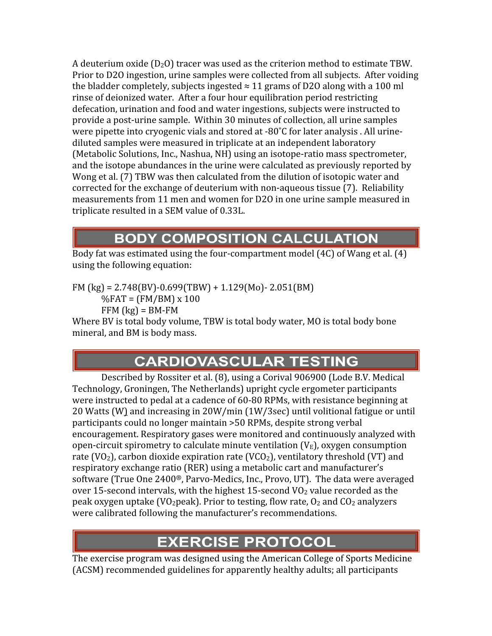A deuterium oxide  $(D_2O)$  tracer was used as the criterion method to estimate TBW. Prior to D2O ingestion, urine samples were collected from all subjects. After voiding the bladder completely, subjects ingested  $\approx 11$  grams of D2O along with a 100 ml rinse of deionized water. After a four hour equilibration period restricting defecation, urination and food and water ingestions, subjects were instructed to provide a post‐urine sample. Within 30 minutes of collection, all urine samples were pipette into cryogenic vials and stored at -80°C for later analysis . All urinediluted samples were measured in triplicate at an independent laboratory (Metabolic Solutions, Inc., Nashua, NH) using an isotope‐ratio mass spectrometer, and the isotope abundances in the urine were calculated as previously reported by Wong et al. (7) TBW was then calculated from the dilution of isotopic water and corrected for the exchange of deuterium with non‐aqueous tissue (7). Reliability measurements from 11 men and women for D2O in one urine sample measured in triplicate resulted in a SEM value of 0.33L.

### **BODY COMPOSITION CALCULATION**

Body fat was estimated using the four‐compartment model (4C) of Wang et al. (4) using the following equation:

 $FM$  (kg) = 2.748(BV)-0.699(TBW) + 1.129(Mo)- 2.051(BM)

 $\%$ FAT = (FM/BM) x 100  $FFM$  (kg) = BM-FM

Where BV is total body volume, TBW is total body water, MO is total body bone mineral, and BM is body mass.

## **CARDIOVASCULAR TESTING**

Described by Rossiter et al. (8), using a Corival 906900 (Lode B.V. Medical Technology, Groningen, The Netherlands) upright cycle ergometer participants were instructed to pedal at a cadence of 60‐80 RPMs, with resistance beginning at 20 Watts (W) and increasing in 20W/min (1W/3sec) until volitional fatigue or until participants could no longer maintain >50 RPMs, despite strong verbal encouragement. Respiratory gases were monitored and continuously analyzed with open-circuit spirometry to calculate minute ventilation  $(V_E)$ , oxygen consumption rate (VO<sub>2</sub>), carbon dioxide expiration rate (VCO<sub>2</sub>), ventilatory threshold (VT) and respiratory exchange ratio (RER) using a metabolic cart and manufacturer's software (True One 2400®, Parvo‐Medics, Inc., Provo, UT). The data were averaged over 15-second intervals, with the highest 15-second  $V_2$  value recorded as the peak oxygen uptake (VO<sub>2</sub>peak). Prior to testing, flow rate,  $O_2$  and  $CO_2$  analyzers were calibrated following the manufacturer's recommendations.

### **EXERCISE PROTOCOL**

The exercise program was designed using the American College of Sports Medicine (ACSM) recommended guidelines for apparently healthy adults; all participants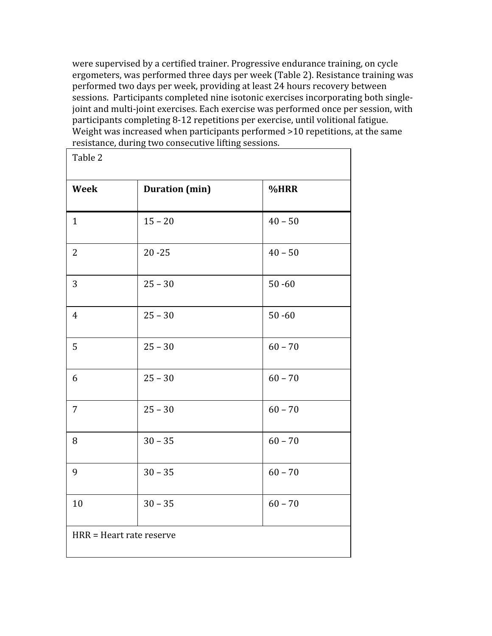were supervised by a certified trainer. Progressive endurance training, on cycle ergometers, was performed three days per week (Table 2). Resistance training was performed two days per week, providing at least 24 hours recovery between sessions. Participants completed nine isotonic exercises incorporating both singlejoint and multi-joint exercises. Each exercise was performed once per session, with participants completing 8‐12 repetitions per exercise, until volitional fatigue. Weight was increased when participants performed >10 repetitions, at the same resistance, during two consecutive lifting sessions.

| Table 2                  |                       |           |  |  |  |
|--------------------------|-----------------------|-----------|--|--|--|
| <b>Week</b>              | <b>Duration</b> (min) | %HRR      |  |  |  |
| $\mathbf{1}$             | $15 - 20$             | $40 - 50$ |  |  |  |
| $\overline{2}$           | $20 - 25$             | $40 - 50$ |  |  |  |
| 3                        | $25 - 30$             | $50 - 60$ |  |  |  |
| $\overline{4}$           | $25 - 30$             | $50 - 60$ |  |  |  |
| 5                        | $25 - 30$             | $60 - 70$ |  |  |  |
| 6                        | $25 - 30$             | $60 - 70$ |  |  |  |
| $\overline{7}$           | $25 - 30$             | $60 - 70$ |  |  |  |
| 8                        | $30 - 35$             | $60 - 70$ |  |  |  |
| 9                        | $30 - 35$             | $60 - 70$ |  |  |  |
| 10                       | $30 - 35$             | $60 - 70$ |  |  |  |
| HRR = Heart rate reserve |                       |           |  |  |  |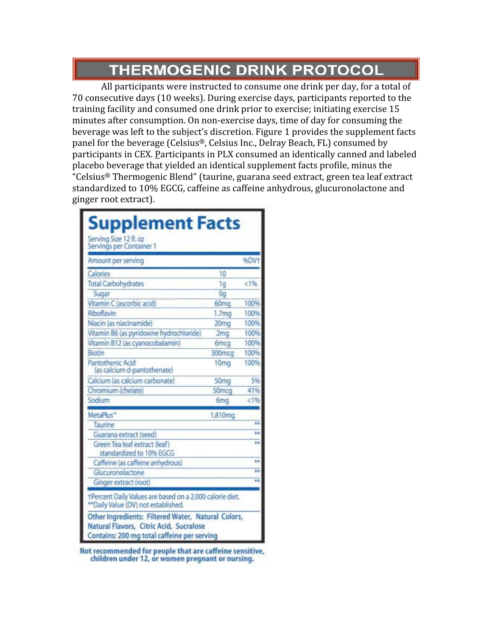## **THERMOGENIC DRINK PROTOCOL**

All participants were instructed to consume one drink per day, for a total of 70 consecutive days (10 weeks). During exercise days, participants reported to the training facility and consumed one drink prior to exercise; initiating exercise 15 minutes after consumption. On non‐exercise days, time of day for consuming the beverage was left to the subject's discretion. Figure 1 provides the supplement facts panel for the beverage (Celsius®, Celsius Inc., Delray Beach, FL) consumed by participants in CEX. Participants in PLX consumed an identically canned and labeled placebo beverage that yielded an identical supplement facts profile, minus the "Celsius® Thermogenic Blend" (taurine, guarana seed extract, green tea leaf extract standardized to 10% EGCG, caffeine as caffeine anhydrous, glucuronolactone and ginger root extract).

| <b>Supplement Facts</b>                                                                                                                      |                   |                |  |  |  |
|----------------------------------------------------------------------------------------------------------------------------------------------|-------------------|----------------|--|--|--|
| Serving Size 12 fl. oz<br>Servings per Container 1                                                                                           |                   |                |  |  |  |
| Amount per serving                                                                                                                           |                   | %DV1           |  |  |  |
| Calories                                                                                                                                     | 10                |                |  |  |  |
| <b>Total Carbohydrates</b>                                                                                                                   | 1g                | < 196          |  |  |  |
| Sugar                                                                                                                                        | 0a                |                |  |  |  |
| Vitamin C (ascorbic acid)                                                                                                                    | 60mg              | 100%           |  |  |  |
| Riboflavin                                                                                                                                   | 1.7 <sub>mg</sub> | 100%           |  |  |  |
| Niacin (as niacinamide)                                                                                                                      | 20 <sub>mg</sub>  | 100%           |  |  |  |
| Vitamin B6 (as pyridoxine hydrochloride)                                                                                                     | 2 <sub>mg</sub>   | 100%           |  |  |  |
| Vitamin B12 (as cyanocobalamin)                                                                                                              | 6mcg              | 100%           |  |  |  |
| Biotin                                                                                                                                       | 300mcg            | 100%           |  |  |  |
| Pantothenic Acid<br>(as calcium d-pantothenate)                                                                                              | 10 <sub>mg</sub>  | 100%           |  |  |  |
| Calcium (as calcium carbonate)                                                                                                               | 50mg              | 5%             |  |  |  |
| Chromium (chelate)                                                                                                                           | 50mcq             | 41%            |  |  |  |
| Sodium                                                                                                                                       | <b>6mg</b>        | < 1%           |  |  |  |
| MetaPlus"                                                                                                                                    | 1,810mg           |                |  |  |  |
| Taurine                                                                                                                                      |                   | ÷.             |  |  |  |
| Guarana extract (seed)                                                                                                                       |                   | s-a            |  |  |  |
| Green Tea leaf extract (leaf)<br>standardized to 10% EGCG                                                                                    |                   | 68             |  |  |  |
| Caffeine (as caffeine anhydrous)                                                                                                             |                   | ÷.             |  |  |  |
| Glucuronolactone                                                                                                                             |                   | $\overline{1}$ |  |  |  |
| Ginger extract (root)                                                                                                                        |                   | $\overline{a}$ |  |  |  |
| †Percent Daily Values are based on a 2,000 calorie diet.<br>** Daily Value (DV) not established.                                             |                   |                |  |  |  |
| Other Ingredients: Filtered Water, Natural Colors,<br>Natural Flavors, Citric Acid, Sucralose<br>Contains: 200 mg total caffeine per serving |                   |                |  |  |  |

Not recommended for people that are caffeine sensitive, children under 12, or women pregnant or nursing.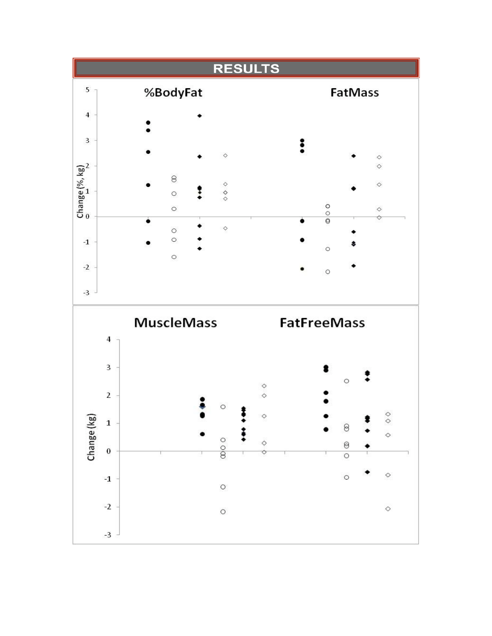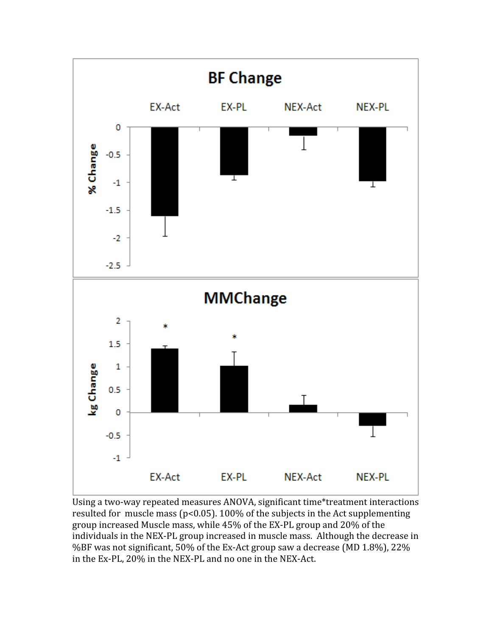

Using a two‐way repeated measures ANOVA, significant time\*treatment interactions resulted for muscle mass (p<0.05). 100% of the subjects in the Act supplementing group increased Muscle mass, while 45% of the EX‐PL group and 20% of the individuals in the NEX‐PL group increased in muscle mass. Although the decrease in %BF was not significant, 50% of the Ex‐Act group saw a decrease (MD 1.8%), 22% in the Ex‐PL, 20% in the NEX‐PL and no one in the NEX‐Act.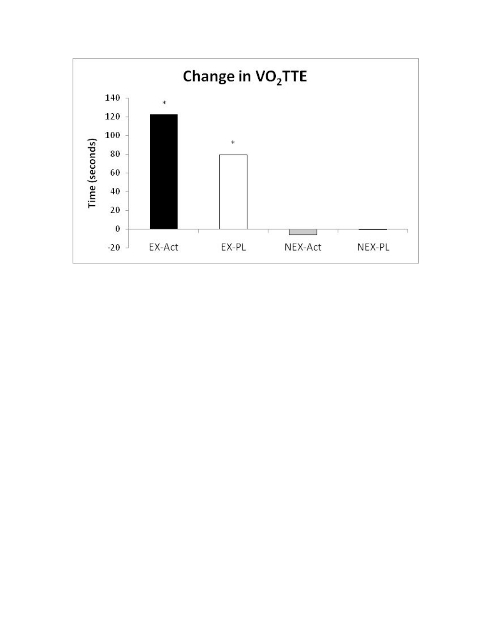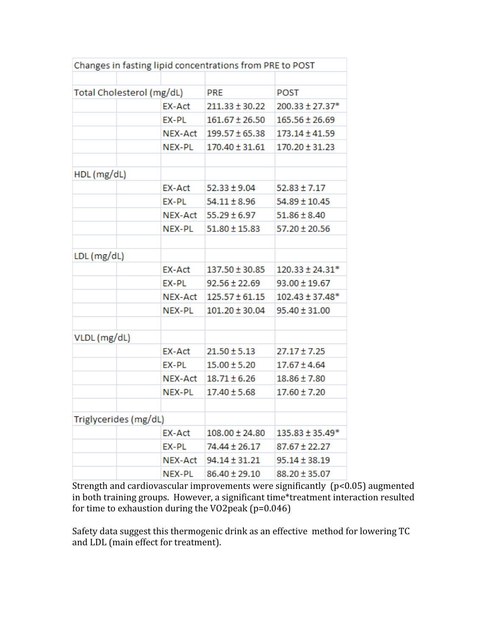| Changes in fasting lipid concentrations from PRE to POST |               |                    |                     |  |  |
|----------------------------------------------------------|---------------|--------------------|---------------------|--|--|
|                                                          |               |                    |                     |  |  |
| Total Cholesterol (mg/dL)                                |               | <b>PRE</b>         | <b>POST</b>         |  |  |
|                                                          | <b>EX-Act</b> | $211.33 \pm 30.22$ | 200.33 ± 27.37*     |  |  |
|                                                          | EX-PL         | $161.67 \pm 26.50$ | $165.56 \pm 26.69$  |  |  |
|                                                          | NEX-Act       | $199.57 \pm 65.38$ | 173.14 ± 41.59      |  |  |
|                                                          | NEX-PL        | $170.40 \pm 31.61$ | $170.20 \pm 31.23$  |  |  |
|                                                          |               |                    |                     |  |  |
| HDL (mg/dL)                                              |               |                    |                     |  |  |
|                                                          | EX-Act        | $52.33 \pm 9.04$   | $52.83 \pm 7.17$    |  |  |
|                                                          | EX-PL         | 54.11 ± 8.96       | 54.89 ± 10.45       |  |  |
|                                                          | NEX-Act       | $55.29 \pm 6.97$   | $51.86 \pm 8.40$    |  |  |
|                                                          | NEX-PL        | $51.80 \pm 15.83$  | $57.20 \pm 20.56$   |  |  |
|                                                          |               |                    |                     |  |  |
| LDL (mg/dL)                                              |               |                    |                     |  |  |
|                                                          | EX-Act        | 137.50 ± 30.85     | $120.33 \pm 24.31*$ |  |  |
|                                                          | EX-PL         | $92.56 \pm 22.69$  | $93.00 \pm 19.67$   |  |  |
|                                                          | NEX-Act       | $125.57 \pm 61.15$ | $102.43 \pm 37.48*$ |  |  |
|                                                          | NEX-PL        | $101.20 \pm 30.04$ | $95.40 \pm 31.00$   |  |  |
|                                                          |               |                    |                     |  |  |
| VLDL (mg/dL)                                             |               |                    |                     |  |  |
|                                                          | EX-Act        | $21.50 \pm 5.13$   | $27.17 \pm 7.25$    |  |  |
|                                                          | EX-PL         | $15.00 \pm 5.20$   | $17.67 \pm 4.64$    |  |  |
|                                                          | NEX-Act       | $18.71 \pm 6.26$   | 18.86 ± 7.80        |  |  |
|                                                          | NEX-PL        | $17.40 \pm 5.68$   | 17.60 ± 7.20        |  |  |
|                                                          |               |                    |                     |  |  |
| Triglycerides (mg/dL)                                    |               |                    |                     |  |  |
|                                                          | EX-Act        | $108.00 \pm 24.80$ | 135.83 ± 35.49*     |  |  |
|                                                          | EX-PL         | 74.44 ± 26.17      | 87.67 ± 22.27       |  |  |
|                                                          | NEX-Act       | 94.14 ± 31.21      | 95.14 ± 38.19       |  |  |
|                                                          | NEX-PL        | 86.40 ± 29.10      | 88.20 ± 35.07       |  |  |

Strength and cardiovascular improvements were significantly (p<0.05) augmented in both training groups. However, a significant time\*treatment interaction resulted for time to exhaustion during the VO2peak (p=0.046)

Safety data suggest this thermogenic drink as an effective method for lowering TC and LDL (main effect for treatment).